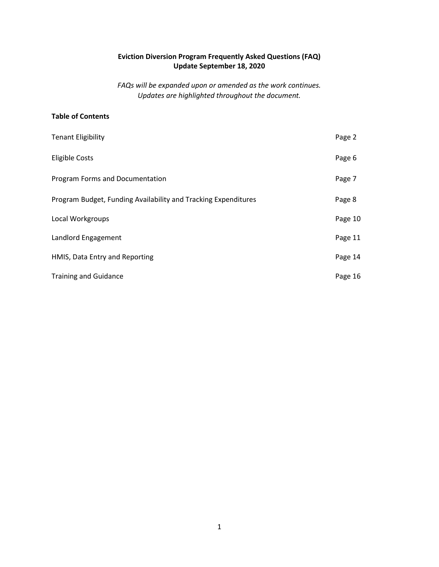# Eviction Diversion Program Frequently Asked Questions (FAQ) Update September 18, 2020

FAQs will be expanded upon or amended as the work continues. Updates are highlighted throughout the document.

### Table of Contents

| <b>Tenant Eligibility</b>                                      | Page 2  |
|----------------------------------------------------------------|---------|
| <b>Eligible Costs</b>                                          | Page 6  |
| Program Forms and Documentation                                | Page 7  |
| Program Budget, Funding Availability and Tracking Expenditures | Page 8  |
| Local Workgroups                                               | Page 10 |
| Landlord Engagement                                            | Page 11 |
| HMIS, Data Entry and Reporting                                 | Page 14 |
| <b>Training and Guidance</b>                                   | Page 16 |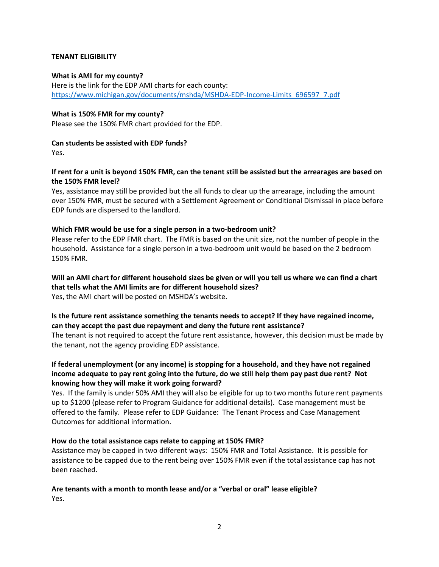### TENANT ELIGIBILITY

#### What is AMI for my county?

Here is the link for the EDP AMI charts for each county: https://www.michigan.gov/documents/mshda/MSHDA-EDP-Income-Limits\_696597\_7.pdf

### What is 150% FMR for my county?

Please see the 150% FMR chart provided for the EDP.

### Can students be assisted with EDP funds?

Yes.

### If rent for a unit is beyond 150% FMR, can the tenant still be assisted but the arrearages are based on the 150% FMR level?

Yes, assistance may still be provided but the all funds to clear up the arrearage, including the amount over 150% FMR, must be secured with a Settlement Agreement or Conditional Dismissal in place before EDP funds are dispersed to the landlord.

### Which FMR would be use for a single person in a two-bedroom unit?

Please refer to the EDP FMR chart. The FMR is based on the unit size, not the number of people in the household. Assistance for a single person in a two-bedroom unit would be based on the 2 bedroom 150% FMR.

### Will an AMI chart for different household sizes be given or will you tell us where we can find a chart that tells what the AMI limits are for different household sizes? Yes, the AMI chart will be posted on MSHDA's website.

# Is the future rent assistance something the tenants needs to accept? If they have regained income, can they accept the past due repayment and deny the future rent assistance?

The tenant is not required to accept the future rent assistance, however, this decision must be made by the tenant, not the agency providing EDP assistance.

# If federal unemployment (or any income) is stopping for a household, and they have not regained income adequate to pay rent going into the future, do we still help them pay past due rent? Not knowing how they will make it work going forward?

Yes. If the family is under 50% AMI they will also be eligible for up to two months future rent payments up to \$1200 (please refer to Program Guidance for additional details). Case management must be offered to the family. Please refer to EDP Guidance: The Tenant Process and Case Management Outcomes for additional information.

### How do the total assistance caps relate to capping at 150% FMR?

Assistance may be capped in two different ways: 150% FMR and Total Assistance. It is possible for assistance to be capped due to the rent being over 150% FMR even if the total assistance cap has not been reached.

### Are tenants with a month to month lease and/or a "verbal or oral" lease eligible? Yes.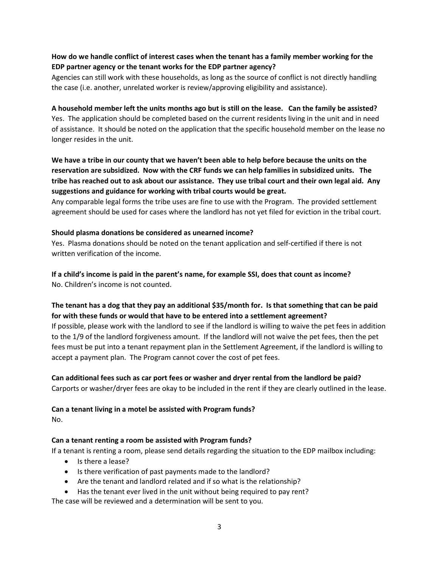# How do we handle conflict of interest cases when the tenant has a family member working for the EDP partner agency or the tenant works for the EDP partner agency?

Agencies can still work with these households, as long as the source of conflict is not directly handling the case (i.e. another, unrelated worker is review/approving eligibility and assistance).

### A household member left the units months ago but is still on the lease. Can the family be assisted?

Yes. The application should be completed based on the current residents living in the unit and in need of assistance. It should be noted on the application that the specific household member on the lease no longer resides in the unit.

# We have a tribe in our county that we haven't been able to help before because the units on the reservation are subsidized. Now with the CRF funds we can help families in subsidized units. The tribe has reached out to ask about our assistance. They use tribal court and their own legal aid. Any suggestions and guidance for working with tribal courts would be great.

Any comparable legal forms the tribe uses are fine to use with the Program. The provided settlement agreement should be used for cases where the landlord has not yet filed for eviction in the tribal court.

### Should plasma donations be considered as unearned income?

Yes. Plasma donations should be noted on the tenant application and self-certified if there is not written verification of the income.

# If a child's income is paid in the parent's name, for example SSI, does that count as income? No. Children's income is not counted.

# The tenant has a dog that they pay an additional \$35/month for. Is that something that can be paid for with these funds or would that have to be entered into a settlement agreement?

If possible, please work with the landlord to see if the landlord is willing to waive the pet fees in addition to the 1/9 of the landlord forgiveness amount. If the landlord will not waive the pet fees, then the pet fees must be put into a tenant repayment plan in the Settlement Agreement, if the landlord is willing to accept a payment plan. The Program cannot cover the cost of pet fees.

### Can additional fees such as car port fees or washer and dryer rental from the landlord be paid?

Carports or washer/dryer fees are okay to be included in the rent if they are clearly outlined in the lease.

### Can a tenant living in a motel be assisted with Program funds?

No.

### Can a tenant renting a room be assisted with Program funds?

If a tenant is renting a room, please send details regarding the situation to the EDP mailbox including:

- Is there a lease?
- Is there verification of past payments made to the landlord?
- Are the tenant and landlord related and if so what is the relationship?
- Has the tenant ever lived in the unit without being required to pay rent?

The case will be reviewed and a determination will be sent to you.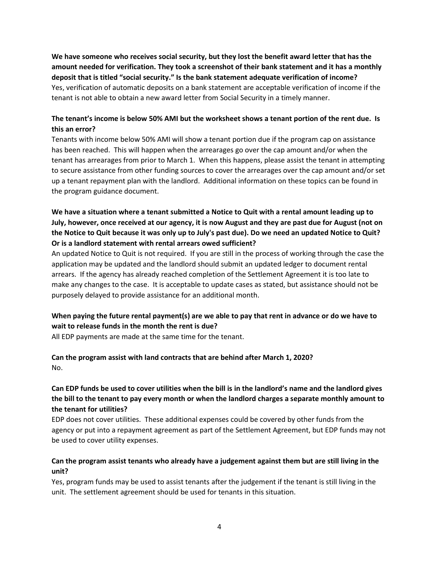We have someone who receives social security, but they lost the benefit award letter that has the amount needed for verification. They took a screenshot of their bank statement and it has a monthly deposit that is titled "social security." Is the bank statement adequate verification of income? Yes, verification of automatic deposits on a bank statement are acceptable verification of income if the tenant is not able to obtain a new award letter from Social Security in a timely manner.

# The tenant's income is below 50% AMI but the worksheet shows a tenant portion of the rent due. Is this an error?

Tenants with income below 50% AMI will show a tenant portion due if the program cap on assistance has been reached. This will happen when the arrearages go over the cap amount and/or when the tenant has arrearages from prior to March 1. When this happens, please assist the tenant in attempting to secure assistance from other funding sources to cover the arrearages over the cap amount and/or set up a tenant repayment plan with the landlord. Additional information on these topics can be found in the program guidance document.

# We have a situation where a tenant submitted a Notice to Quit with a rental amount leading up to July, however, once received at our agency, it is now August and they are past due for August (not on the Notice to Quit because it was only up to July's past due). Do we need an updated Notice to Quit? Or is a landlord statement with rental arrears owed sufficient?

An updated Notice to Quit is not required. If you are still in the process of working through the case the application may be updated and the landlord should submit an updated ledger to document rental arrears. If the agency has already reached completion of the Settlement Agreement it is too late to make any changes to the case. It is acceptable to update cases as stated, but assistance should not be purposely delayed to provide assistance for an additional month.

# When paying the future rental payment(s) are we able to pay that rent in advance or do we have to wait to release funds in the month the rent is due?

All EDP payments are made at the same time for the tenant.

### Can the program assist with land contracts that are behind after March 1, 2020? No.

# Can EDP funds be used to cover utilities when the bill is in the landlord's name and the landlord gives the bill to the tenant to pay every month or when the landlord charges a separate monthly amount to the tenant for utilities?

EDP does not cover utilities. These additional expenses could be covered by other funds from the agency or put into a repayment agreement as part of the Settlement Agreement, but EDP funds may not be used to cover utility expenses.

# Can the program assist tenants who already have a judgement against them but are still living in the unit?

Yes, program funds may be used to assist tenants after the judgement if the tenant is still living in the unit. The settlement agreement should be used for tenants in this situation.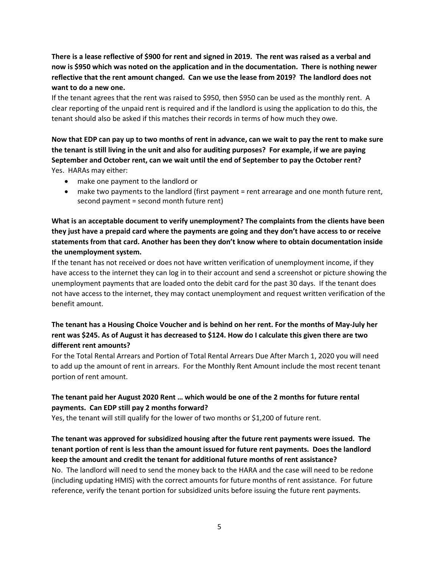There is a lease reflective of \$900 for rent and signed in 2019. The rent was raised as a verbal and now is \$950 which was noted on the application and in the documentation. There is nothing newer reflective that the rent amount changed. Can we use the lease from 2019? The landlord does not want to do a new one.

If the tenant agrees that the rent was raised to \$950, then \$950 can be used as the monthly rent. A clear reporting of the unpaid rent is required and if the landlord is using the application to do this, the tenant should also be asked if this matches their records in terms of how much they owe.

Now that EDP can pay up to two months of rent in advance, can we wait to pay the rent to make sure the tenant is still living in the unit and also for auditing purposes? For example, if we are paying September and October rent, can we wait until the end of September to pay the October rent? Yes. HARAs may either:

- make one payment to the landlord or
- make two payments to the landlord (first payment = rent arrearage and one month future rent, second payment = second month future rent)

What is an acceptable document to verify unemployment? The complaints from the clients have been they just have a prepaid card where the payments are going and they don't have access to or receive statements from that card. Another has been they don't know where to obtain documentation inside the unemployment system.

If the tenant has not received or does not have written verification of unemployment income, if they have access to the internet they can log in to their account and send a screenshot or picture showing the unemployment payments that are loaded onto the debit card for the past 30 days. If the tenant does not have access to the internet, they may contact unemployment and request written verification of the benefit amount.

# The tenant has a Housing Choice Voucher and is behind on her rent. For the months of May-July her rent was \$245. As of August it has decreased to \$124. How do I calculate this given there are two different rent amounts?

For the Total Rental Arrears and Portion of Total Rental Arrears Due After March 1, 2020 you will need to add up the amount of rent in arrears. For the Monthly Rent Amount include the most recent tenant portion of rent amount.

# The tenant paid her August 2020 Rent … which would be one of the 2 months for future rental payments. Can EDP still pay 2 months forward?

Yes, the tenant will still qualify for the lower of two months or \$1,200 of future rent.

# The tenant was approved for subsidized housing after the future rent payments were issued. The tenant portion of rent is less than the amount issued for future rent payments. Does the landlord keep the amount and credit the tenant for additional future months of rent assistance?

No. The landlord will need to send the money back to the HARA and the case will need to be redone (including updating HMIS) with the correct amounts for future months of rent assistance. For future reference, verify the tenant portion for subsidized units before issuing the future rent payments.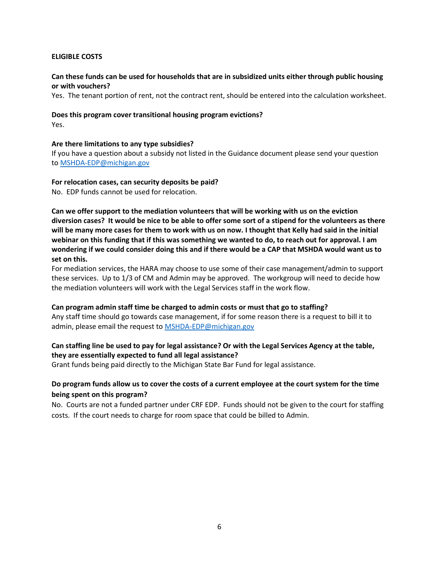### ELIGIBLE COSTS

### Can these funds can be used for households that are in subsidized units either through public housing or with vouchers?

Yes. The tenant portion of rent, not the contract rent, should be entered into the calculation worksheet.

#### Does this program cover transitional housing program evictions? Yes.

### Are there limitations to any type subsidies?

If you have a question about a subsidy not listed in the Guidance document please send your question to MSHDA-EDP@michigan.gov

### For relocation cases, can security deposits be paid?

No. EDP funds cannot be used for relocation.

Can we offer support to the mediation volunteers that will be working with us on the eviction diversion cases? It would be nice to be able to offer some sort of a stipend for the volunteers as there will be many more cases for them to work with us on now. I thought that Kelly had said in the initial webinar on this funding that if this was something we wanted to do, to reach out for approval. I am wondering if we could consider doing this and if there would be a CAP that MSHDA would want us to set on this.

For mediation services, the HARA may choose to use some of their case management/admin to support these services. Up to 1/3 of CM and Admin may be approved. The workgroup will need to decide how the mediation volunteers will work with the Legal Services staff in the work flow.

#### Can program admin staff time be charged to admin costs or must that go to staffing?

Any staff time should go towards case management, if for some reason there is a request to bill it to admin, please email the request to MSHDA-EDP@michigan.gov

### Can staffing line be used to pay for legal assistance? Or with the Legal Services Agency at the table, they are essentially expected to fund all legal assistance?

Grant funds being paid directly to the Michigan State Bar Fund for legal assistance.

### Do program funds allow us to cover the costs of a current employee at the court system for the time being spent on this program?

No. Courts are not a funded partner under CRF EDP. Funds should not be given to the court for staffing costs. If the court needs to charge for room space that could be billed to Admin.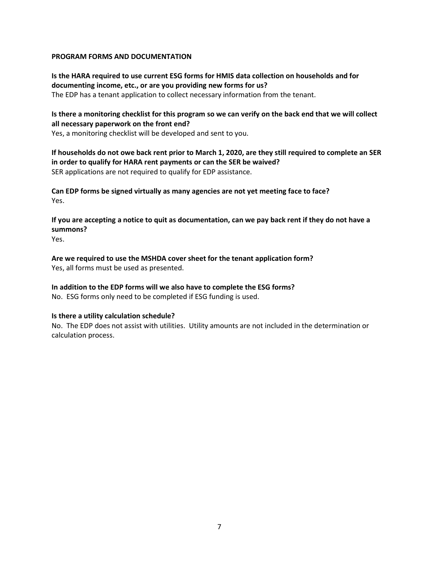### PROGRAM FORMS AND DOCUMENTATION

Is the HARA required to use current ESG forms for HMIS data collection on households and for documenting income, etc., or are you providing new forms for us? The EDP has a tenant application to collect necessary information from the tenant.

### Is there a monitoring checklist for this program so we can verify on the back end that we will collect all necessary paperwork on the front end?

Yes, a monitoring checklist will be developed and sent to you.

If households do not owe back rent prior to March 1, 2020, are they still required to complete an SER in order to qualify for HARA rent payments or can the SER be waived? SER applications are not required to qualify for EDP assistance.

Can EDP forms be signed virtually as many agencies are not yet meeting face to face? Yes.

If you are accepting a notice to quit as documentation, can we pay back rent if they do not have a summons?

Yes.

Are we required to use the MSHDA cover sheet for the tenant application form? Yes, all forms must be used as presented.

# In addition to the EDP forms will we also have to complete the ESG forms?

No. ESG forms only need to be completed if ESG funding is used.

### Is there a utility calculation schedule?

No. The EDP does not assist with utilities. Utility amounts are not included in the determination or calculation process.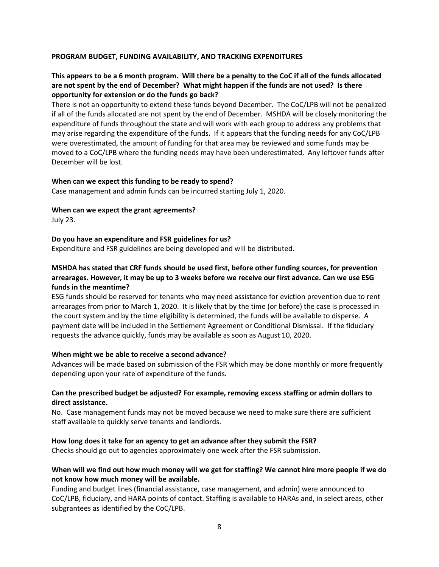### PROGRAM BUDGET, FUNDING AVAILABILITY, AND TRACKING EXPENDITURES

# This appears to be a 6 month program. Will there be a penalty to the CoC if all of the funds allocated are not spent by the end of December? What might happen if the funds are not used? Is there opportunity for extension or do the funds go back?

There is not an opportunity to extend these funds beyond December. The CoC/LPB will not be penalized if all of the funds allocated are not spent by the end of December. MSHDA will be closely monitoring the expenditure of funds throughout the state and will work with each group to address any problems that may arise regarding the expenditure of the funds. If it appears that the funding needs for any CoC/LPB were overestimated, the amount of funding for that area may be reviewed and some funds may be moved to a CoC/LPB where the funding needs may have been underestimated. Any leftover funds after December will be lost.

#### When can we expect this funding to be ready to spend?

Case management and admin funds can be incurred starting July 1, 2020.

#### When can we expect the grant agreements?

July 23.

#### Do you have an expenditure and FSR guidelines for us?

Expenditure and FSR guidelines are being developed and will be distributed.

### MSHDA has stated that CRF funds should be used first, before other funding sources, for prevention arrearages. However, it may be up to 3 weeks before we receive our first advance. Can we use ESG funds in the meantime?

ESG funds should be reserved for tenants who may need assistance for eviction prevention due to rent arrearages from prior to March 1, 2020. It is likely that by the time (or before) the case is processed in the court system and by the time eligibility is determined, the funds will be available to disperse. A payment date will be included in the Settlement Agreement or Conditional Dismissal. If the fiduciary requests the advance quickly, funds may be available as soon as August 10, 2020.

#### When might we be able to receive a second advance?

Advances will be made based on submission of the FSR which may be done monthly or more frequently depending upon your rate of expenditure of the funds.

### Can the prescribed budget be adjusted? For example, removing excess staffing or admin dollars to direct assistance.

No. Case management funds may not be moved because we need to make sure there are sufficient staff available to quickly serve tenants and landlords.

#### How long does it take for an agency to get an advance after they submit the FSR?

Checks should go out to agencies approximately one week after the FSR submission.

### When will we find out how much money will we get for staffing? We cannot hire more people if we do not know how much money will be available.

Funding and budget lines (financial assistance, case management, and admin) were announced to CoC/LPB, fiduciary, and HARA points of contact. Staffing is available to HARAs and, in select areas, other subgrantees as identified by the CoC/LPB.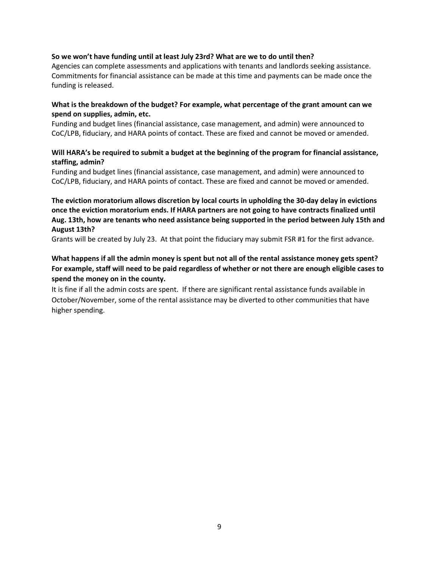### So we won't have funding until at least July 23rd? What are we to do until then?

Agencies can complete assessments and applications with tenants and landlords seeking assistance. Commitments for financial assistance can be made at this time and payments can be made once the funding is released.

### What is the breakdown of the budget? For example, what percentage of the grant amount can we spend on supplies, admin, etc.

Funding and budget lines (financial assistance, case management, and admin) were announced to CoC/LPB, fiduciary, and HARA points of contact. These are fixed and cannot be moved or amended.

### Will HARA's be required to submit a budget at the beginning of the program for financial assistance, staffing, admin?

Funding and budget lines (financial assistance, case management, and admin) were announced to CoC/LPB, fiduciary, and HARA points of contact. These are fixed and cannot be moved or amended.

The eviction moratorium allows discretion by local courts in upholding the 30-day delay in evictions once the eviction moratorium ends. If HARA partners are not going to have contracts finalized until Aug. 13th, how are tenants who need assistance being supported in the period between July 15th and August 13th?

Grants will be created by July 23. At that point the fiduciary may submit FSR #1 for the first advance.

# What happens if all the admin money is spent but not all of the rental assistance money gets spent? For example, staff will need to be paid regardless of whether or not there are enough eligible cases to spend the money on in the county.

It is fine if all the admin costs are spent. If there are significant rental assistance funds available in October/November, some of the rental assistance may be diverted to other communities that have higher spending.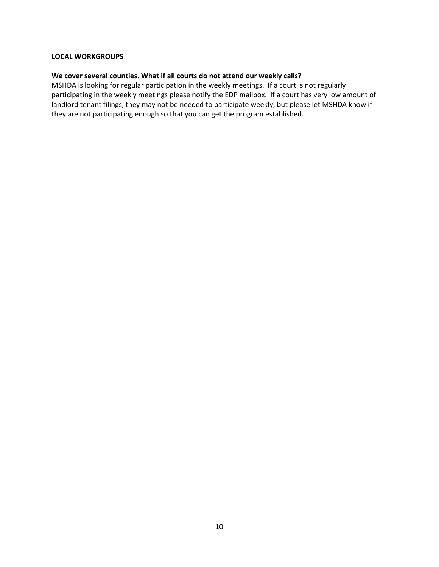### LOCAL WORKGROUPS

### We cover several counties. What if all courts do not attend our weekly calls?

MSHDA is looking for regular participation in the weekly meetings. If a court is not regularly participating in the weekly meetings please notify the EDP mailbox. If a court has very low amount of landlord tenant filings, they may not be needed to participate weekly, but please let MSHDA know if they are not participating enough so that you can get the program established.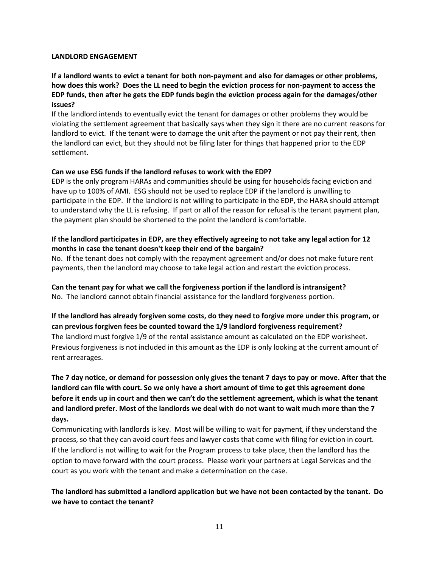#### LANDLORD ENGAGEMENT

If a landlord wants to evict a tenant for both non-payment and also for damages or other problems, how does this work? Does the LL need to begin the eviction process for non-payment to access the EDP funds, then after he gets the EDP funds begin the eviction process again for the damages/other issues?

If the landlord intends to eventually evict the tenant for damages or other problems they would be violating the settlement agreement that basically says when they sign it there are no current reasons for landlord to evict. If the tenant were to damage the unit after the payment or not pay their rent, then the landlord can evict, but they should not be filing later for things that happened prior to the EDP settlement.

### Can we use ESG funds if the landlord refuses to work with the EDP?

EDP is the only program HARAs and communities should be using for households facing eviction and have up to 100% of AMI. ESG should not be used to replace EDP if the landlord is unwilling to participate in the EDP. If the landlord is not willing to participate in the EDP, the HARA should attempt to understand why the LL is refusing. If part or all of the reason for refusal is the tenant payment plan, the payment plan should be shortened to the point the landlord is comfortable.

### If the landlord participates in EDP, are they effectively agreeing to not take any legal action for 12 months in case the tenant doesn't keep their end of the bargain?

No. If the tenant does not comply with the repayment agreement and/or does not make future rent payments, then the landlord may choose to take legal action and restart the eviction process.

### Can the tenant pay for what we call the forgiveness portion if the landlord is intransigent? No. The landlord cannot obtain financial assistance for the landlord forgiveness portion.

# If the landlord has already forgiven some costs, do they need to forgive more under this program, or can previous forgiven fees be counted toward the 1/9 landlord forgiveness requirement? The landlord must forgive 1/9 of the rental assistance amount as calculated on the EDP worksheet. Previous forgiveness is not included in this amount as the EDP is only looking at the current amount of rent arrearages.

# The 7 day notice, or demand for possession only gives the tenant 7 days to pay or move. After that the landlord can file with court. So we only have a short amount of time to get this agreement done before it ends up in court and then we can't do the settlement agreement, which is what the tenant and landlord prefer. Most of the landlords we deal with do not want to wait much more than the 7 days.

Communicating with landlords is key. Most will be willing to wait for payment, if they understand the process, so that they can avoid court fees and lawyer costs that come with filing for eviction in court. If the landlord is not willing to wait for the Program process to take place, then the landlord has the option to move forward with the court process. Please work your partners at Legal Services and the court as you work with the tenant and make a determination on the case.

The landlord has submitted a landlord application but we have not been contacted by the tenant. Do we have to contact the tenant?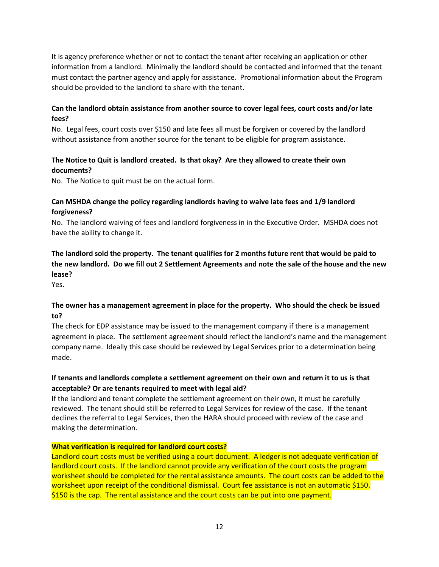It is agency preference whether or not to contact the tenant after receiving an application or other information from a landlord. Minimally the landlord should be contacted and informed that the tenant must contact the partner agency and apply for assistance. Promotional information about the Program should be provided to the landlord to share with the tenant.

# Can the landlord obtain assistance from another source to cover legal fees, court costs and/or late fees?

No. Legal fees, court costs over \$150 and late fees all must be forgiven or covered by the landlord without assistance from another source for the tenant to be eligible for program assistance.

# The Notice to Quit is landlord created. Is that okay? Are they allowed to create their own documents?

No. The Notice to quit must be on the actual form.

# Can MSHDA change the policy regarding landlords having to waive late fees and 1/9 landlord forgiveness?

No. The landlord waiving of fees and landlord forgiveness in in the Executive Order. MSHDA does not have the ability to change it.

The landlord sold the property. The tenant qualifies for 2 months future rent that would be paid to the new landlord. Do we fill out 2 Settlement Agreements and note the sale of the house and the new lease?

Yes.

# The owner has a management agreement in place for the property. Who should the check be issued to?

The check for EDP assistance may be issued to the management company if there is a management agreement in place. The settlement agreement should reflect the landlord's name and the management company name. Ideally this case should be reviewed by Legal Services prior to a determination being made.

# If tenants and landlords complete a settlement agreement on their own and return it to us is that acceptable? Or are tenants required to meet with legal aid?

If the landlord and tenant complete the settlement agreement on their own, it must be carefully reviewed. The tenant should still be referred to Legal Services for review of the case. If the tenant declines the referral to Legal Services, then the HARA should proceed with review of the case and making the determination.

### What verification is required for landlord court costs?

Landlord court costs must be verified using a court document. A ledger is not adequate verification of landlord court costs. If the landlord cannot provide any verification of the court costs the program worksheet should be completed for the rental assistance amounts. The court costs can be added to the worksheet upon receipt of the conditional dismissal. Court fee assistance is not an automatic \$150. \$150 is the cap. The rental assistance and the court costs can be put into one payment.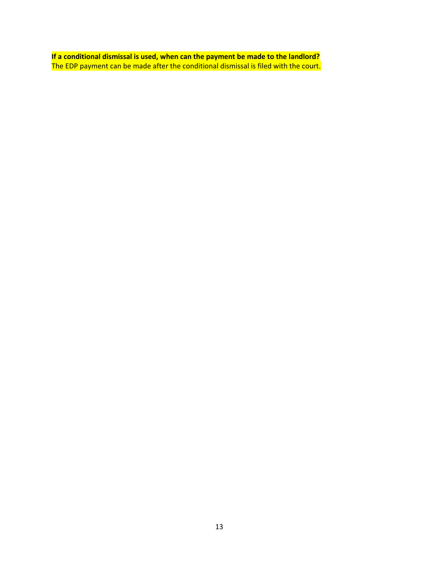If a conditional dismissal is used, when can the payment be made to the landlord? The EDP payment can be made after the conditional dismissal is filed with the court.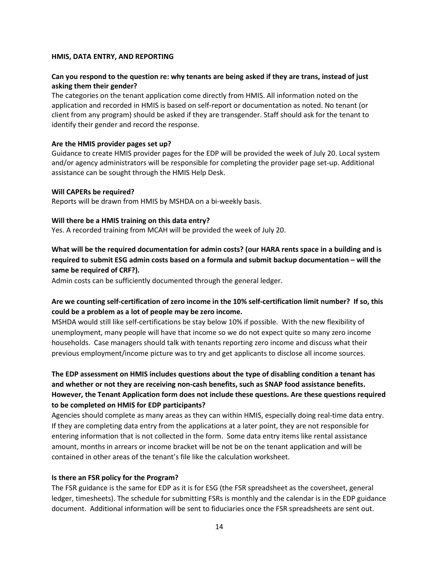### HMIS, DATA ENTRY, AND REPORTING

# Can you respond to the question re: why tenants are being asked if they are trans, instead of just asking them their gender?

The categories on the tenant application come directly from HMIS. All information noted on the application and recorded in HMIS is based on self-report or documentation as noted. No tenant (or client from any program) should be asked if they are transgender. Staff should ask for the tenant to identify their gender and record the response.

#### Are the HMIS provider pages set up?

Guidance to create HMIS provider pages for the EDP will be provided the week of July 20. Local system and/or agency administrators will be responsible for completing the provider page set-up. Additional assistance can be sought through the HMIS Help Desk.

### Will CAPERs be required?

Reports will be drawn from HMIS by MSHDA on a bi-weekly basis.

### Will there be a HMIS training on this data entry?

Yes. A recorded training from MCAH will be provided the week of July 20.

# What will be the required documentation for admin costs? (our HARA rents space in a building and is required to submit ESG admin costs based on a formula and submit backup documentation – will the same be required of CRF?).

Admin costs can be sufficiently documented through the general ledger.

# Are we counting self-certification of zero income in the 10% self-certification limit number? If so, this could be a problem as a lot of people may be zero income.

MSHDA would still like self-certifications be stay below 10% if possible. With the new flexibility of unemployment, many people will have that income so we do not expect quite so many zero income households. Case managers should talk with tenants reporting zero income and discuss what their previous employment/income picture was to try and get applicants to disclose all income sources.

# The EDP assessment on HMIS includes questions about the type of disabling condition a tenant has and whether or not they are receiving non-cash benefits, such as SNAP food assistance benefits. However, the Tenant Application form does not include these questions. Are these questions required to be completed on HMIS for EDP participants?

Agencies should complete as many areas as they can within HMIS, especially doing real-time data entry. If they are completing data entry from the applications at a later point, they are not responsible for entering information that is not collected in the form. Some data entry items like rental assistance amount, months in arrears or income bracket will be not be on the tenant application and will be contained in other areas of the tenant's file like the calculation worksheet.

### Is there an FSR policy for the Program?

The FSR guidance is the same for EDP as it is for ESG (the FSR spreadsheet as the coversheet, general ledger, timesheets). The schedule for submitting FSRs is monthly and the calendar is in the EDP guidance document. Additional information will be sent to fiduciaries once the FSR spreadsheets are sent out.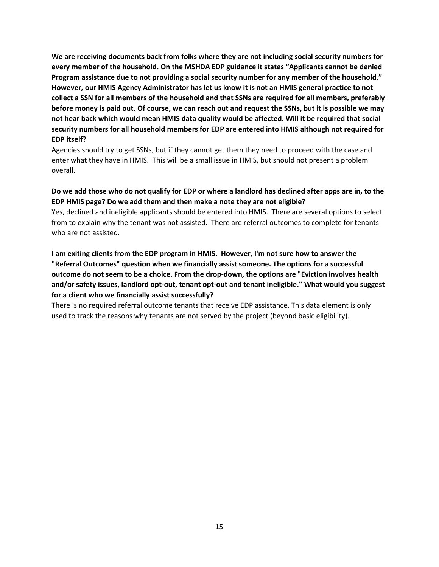We are receiving documents back from folks where they are not including social security numbers for every member of the household. On the MSHDA EDP guidance it states "Applicants cannot be denied Program assistance due to not providing a social security number for any member of the household." However, our HMIS Agency Administrator has let us know it is not an HMIS general practice to not collect a SSN for all members of the household and that SSNs are required for all members, preferably before money is paid out. Of course, we can reach out and request the SSNs, but it is possible we may not hear back which would mean HMIS data quality would be affected. Will it be required that social security numbers for all household members for EDP are entered into HMIS although not required for EDP itself?

Agencies should try to get SSNs, but if they cannot get them they need to proceed with the case and enter what they have in HMIS. This will be a small issue in HMIS, but should not present a problem overall.

# Do we add those who do not qualify for EDP or where a landlord has declined after apps are in, to the EDP HMIS page? Do we add them and then make a note they are not eligible?

Yes, declined and ineligible applicants should be entered into HMIS. There are several options to select from to explain why the tenant was not assisted. There are referral outcomes to complete for tenants who are not assisted.

I am exiting clients from the EDP program in HMIS. However, I'm not sure how to answer the "Referral Outcomes" question when we financially assist someone. The options for a successful outcome do not seem to be a choice. From the drop-down, the options are "Eviction involves health and/or safety issues, landlord opt-out, tenant opt-out and tenant ineligible." What would you suggest for a client who we financially assist successfully?

There is no required referral outcome tenants that receive EDP assistance. This data element is only used to track the reasons why tenants are not served by the project (beyond basic eligibility).